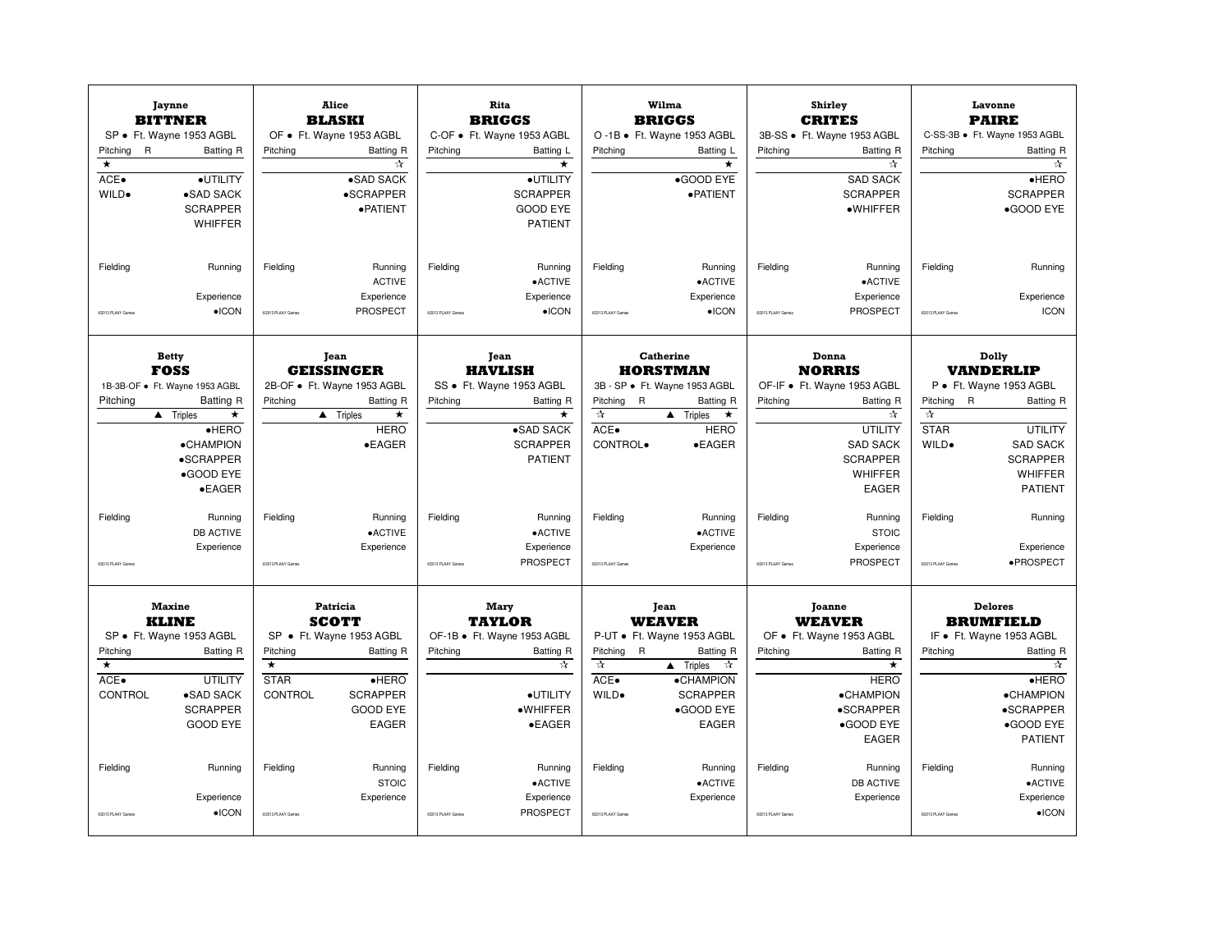| <b>Jaynne</b><br><b>BITTNER</b><br>SP · Ft. Wayne 1953 AGBL<br>$\overline{R}$<br>Pitching<br><b>Batting R</b><br>$\star$<br>ACE.<br>·UTILITY<br>WILD.<br>•SAD SACK<br><b>SCRAPPER</b><br><b>WHIFFER</b>   | Alice<br><b>BLASKI</b><br>OF • Ft. Wayne 1953 AGBL<br>Pitching<br><b>Batting R</b><br>☆<br>•SAD SACK<br>•SCRAPPER<br>· PATIENT                                                                               | Rita<br><b>BRIGGS</b><br>C-OF • Ft. Wayne 1953 AGBL<br>Pitching<br>Batting L<br>$\star$<br>·UTILITY<br><b>SCRAPPER</b><br><b>GOOD EYE</b><br><b>PATIENT</b> | Wilma<br><b>BRIGGS</b><br>O -1B · Ft. Wayne 1953 AGBL<br>Pitching<br>Batting L<br>$\star$<br>•GOOD EYE<br>· PATIENT                                                                                                           | Shirley<br><b>CRITES</b><br>3B-SS · Ft. Wayne 1953 AGBL<br>Pitching<br><b>Batting R</b><br>☆<br><b>SAD SACK</b><br><b>SCRAPPER</b><br>$\bullet$ WHIFFER                            | Lavonne<br><b>PAIRE</b><br>C-SS-3B · Ft. Wayne 1953 AGBL<br>Pitching<br><b>Batting R</b><br>☆<br>$e$ HERO<br><b>SCRAPPER</b><br>•GOOD EYE                                                                              |
|-----------------------------------------------------------------------------------------------------------------------------------------------------------------------------------------------------------|--------------------------------------------------------------------------------------------------------------------------------------------------------------------------------------------------------------|-------------------------------------------------------------------------------------------------------------------------------------------------------------|-------------------------------------------------------------------------------------------------------------------------------------------------------------------------------------------------------------------------------|------------------------------------------------------------------------------------------------------------------------------------------------------------------------------------|------------------------------------------------------------------------------------------------------------------------------------------------------------------------------------------------------------------------|
| Running<br>Fielding<br>Experience<br>$\bullet$ ICON<br>02013 PLAAY Games                                                                                                                                  | Fieldina<br>Running<br><b>ACTIVE</b><br>Experience<br>PROSPECT<br>02013 PLAAY Game                                                                                                                           | Fielding<br>Running<br>$\bullet$ ACTIVE<br>Experience<br>$\bullet$ ICON<br>02013 PLAAY Games                                                                | Running<br>Fielding<br>•ACTIVE<br>Experience<br>$\bullet$ ICON<br>C2013 PLAAY Games                                                                                                                                           | Fielding<br>Running<br>• ACTIVE<br>Experience<br>PROSPECT<br>02013 PLAAY Games                                                                                                     | Fielding<br>Running<br>Experience<br><b>ICON</b><br>02013 PLAAY Games                                                                                                                                                  |
| <b>Betty</b><br><b>FOSS</b><br>1B-3B-OF · Ft. Wayne 1953 AGBL<br>Pitching<br>Batting R<br>$\blacktriangle$ Triples<br>$\star$<br>$\bullet$ HERO<br>•CHAMPION<br>•SCRAPPER<br>•GOOD EYE<br>$\bullet$ EAGER | <b>Tean</b><br><b>GEISSINGER</b><br>2B-OF · Ft. Wayne 1953 AGBL<br>Pitching<br>Batting R<br>$\triangle$ Triples<br>$\star$<br><b>HERO</b><br>$\bullet$ EAGER                                                 | <b>Tean</b><br><b>HAVLISH</b><br>SS · Ft. Wayne 1953 AGBL<br>Pitching<br><b>Batting R</b><br>$\star$<br>•SAD SACK<br><b>SCRAPPER</b><br><b>PATIENT</b>      | <b>Catherine</b><br><b>HORSTMAN</b><br>3B - SP · Ft. Wayne 1953 AGBL<br>Pitching R<br><b>Batting R</b><br>☆<br>$\triangle$ Triples<br>$\star$<br>ACE.<br><b>HERO</b><br>CONTROL.<br>$\bullet$ EAGER                           | Donna<br><b>NORRIS</b><br>OF-IF · Ft. Wayne 1953 AGBL<br>Pitching<br>Batting R<br>☆<br><b>UTILITY</b><br><b>SAD SACK</b><br><b>SCRAPPER</b><br><b>WHIFFER</b><br>EAGER             | Dolly<br><b>VANDERLIP</b><br>P · Ft. Wayne 1953 AGBL<br>Pitching<br>R<br><b>Batting R</b><br>$\pi$<br><b>STAR</b><br><b>UTILITY</b><br><b>SAD SACK</b><br>WILD.<br><b>SCRAPPER</b><br><b>WHIFFER</b><br><b>PATIENT</b> |
| Fielding<br>Running<br><b>DB ACTIVE</b><br>Experience<br>COM3 PLAAY Games                                                                                                                                 | Fielding<br>Running<br>•ACTIVE<br>Experience<br>CO013 PLAAY Game                                                                                                                                             | Fielding<br>Running<br>$\bullet$ ACTIVE<br>Experience<br>PROSPECT<br>02013 PLAAY Games                                                                      | Fielding<br>Running<br>$\bullet$ ACTIVE<br>Experience<br>CO113 PLAAY Games                                                                                                                                                    | Fielding<br>Running<br><b>STOIC</b><br>Experience<br>PROSPECT<br>COM3 PLAAY Games                                                                                                  | Fielding<br>Running<br>Experience<br>·PROSPECT<br>02013 PLAAY Game                                                                                                                                                     |
| <b>Maxine</b><br><b>KLINE</b><br>SP · Ft. Wayne 1953 AGBL<br>Pitching<br><b>Batting R</b><br>$\star$<br>ACE.<br><b>UTILITY</b><br>CONTROL<br>•SAD SACK<br><b>SCRAPPER</b><br><b>GOOD EYE</b>              | Patricia<br><b>SCOTT</b><br>SP · Ft. Wayne 1953 AGBL<br>Pitching<br><b>Batting R</b><br>$\overline{\phantom{a}}$<br><b>STAR</b><br>$e$ HERO<br><b>SCRAPPER</b><br>CONTROL<br><b>GOOD EYE</b><br><b>EAGER</b> | Mary<br><b>TAYLOR</b><br>OF-1B · Ft. Wayne 1953 AGBL<br>Pitching<br>Batting R<br>☆<br>·UTILITY<br>·WHIFFER<br>$\bullet$ EAGER                               | Jean<br><b>WEAVER</b><br>P-UT • Ft. Wayne 1953 AGBL<br>Pitching R<br><b>Batting R</b><br>$\approx$<br>$\blacktriangle$ Triples<br>$\mathcal{A}$<br>ACE.<br>•CHAMPION<br>WILD.<br><b>SCRAPPER</b><br>•GOOD EYE<br><b>EAGER</b> | <b>Joanne</b><br><b>WEAVER</b><br>OF • Ft. Wayne 1953 AGBL<br><b>Batting R</b><br>Pitching<br>$\star$<br><b>HERO</b><br><b>•CHAMPION</b><br>•SCRAPPER<br>•GOOD EYE<br><b>EAGER</b> | <b>Delores</b><br><b>BRUMFIELD</b><br>IF • Ft. Wayne 1953 AGBL<br>Pitching<br><b>Batting R</b><br>☆<br>$e$ HERO<br><b>•CHAMPION</b><br>•SCRAPPER<br>•GOOD EYE<br><b>PATIENT</b>                                        |
| Fielding<br>Running<br>Experience<br>$\bullet$ ICON<br>02013 PLAAY Game                                                                                                                                   | Running<br>Fielding<br><b>STOIC</b><br>Experience<br>C2013 PLAAY Game                                                                                                                                        | Fielding<br>Running<br>$\bullet$ ACTIVE<br>Experience<br>PROSPECT<br>C2013 PLAAY Game                                                                       | Fielding<br>Running<br>$\bullet$ ACTIVE<br>Experience<br>CO113 PLAAY Games                                                                                                                                                    | Fielding<br>Running<br><b>DB ACTIVE</b><br>Experience<br>COM3 PLAAY Game                                                                                                           | Fielding<br>Running<br>•ACTIVE<br>Experience<br>$\bullet$ ICON<br>CO113 PLAAY Game                                                                                                                                     |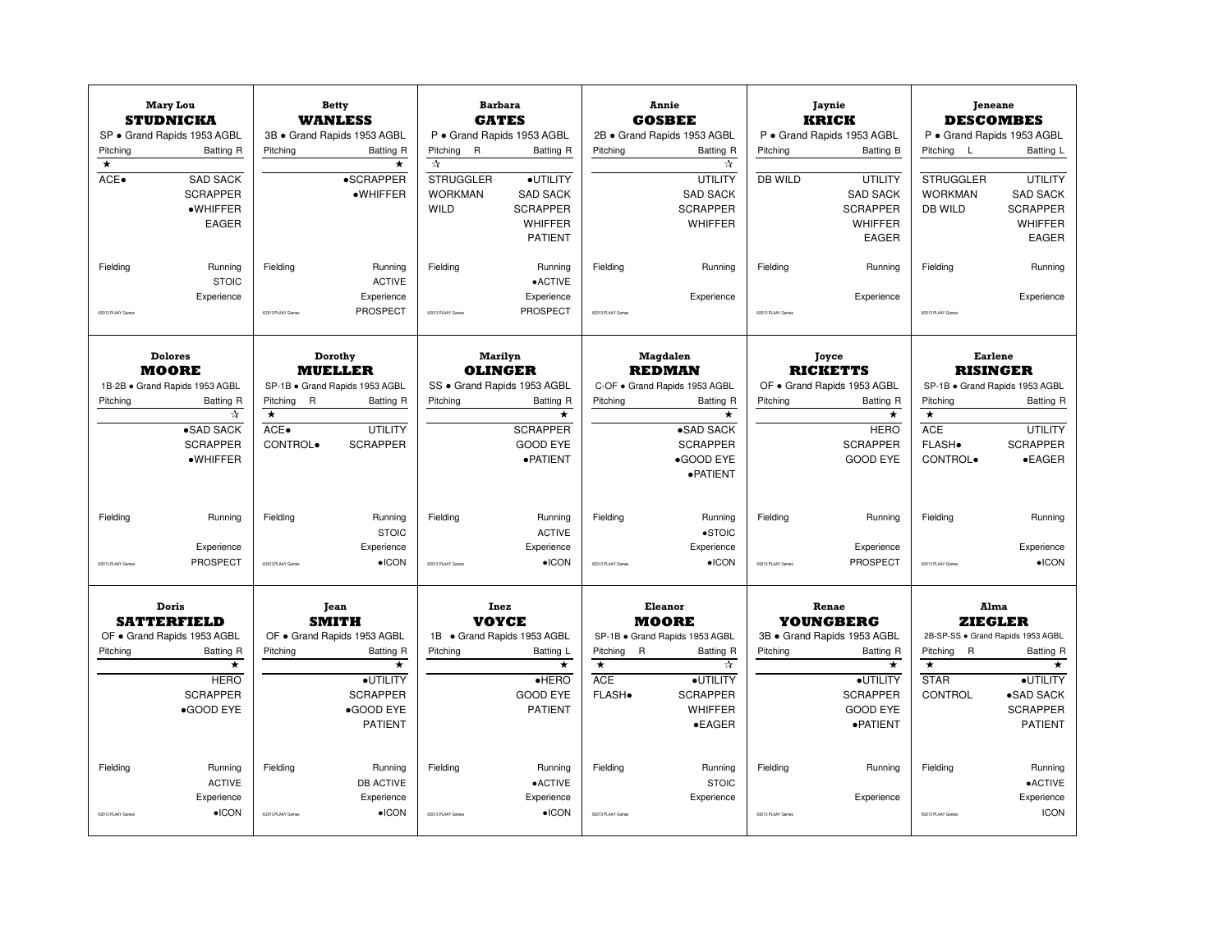| Pitching<br>$\overline{\ast}$<br>ACE.<br>Fielding | <b>Mary Lou</b><br><b>STUDNICKA</b><br>SP · Grand Rapids 1953 AGBL<br><b>Batting R</b><br><b>SAD SACK</b><br><b>SCRAPPER</b><br>$\bullet$ WHIFFER<br><b>EAGER</b><br>Running<br><b>STOIC</b> | Pitching<br>Fielding                         | <b>Betty</b><br><b>WANLESS</b><br>3B · Grand Rapids 1953 AGBL<br><b>Batting R</b><br>$\star$<br><b>•SCRAPPER</b><br>·WHIFFER<br>Running<br><b>ACTIVE</b> | Pitching<br>$\overline{R}$<br>☆<br><b>STRUGGLER</b><br><b>WORKMAN</b><br>WILD<br>Fielding | <b>Barbara</b><br><b>GATES</b><br>P · Grand Rapids 1953 AGBL<br>Batting R<br>·UTILITY<br><b>SAD SACK</b><br><b>SCRAPPER</b><br><b>WHIFFER</b><br><b>PATIENT</b><br>Running<br>$\bullet$ ACTIVE | Pitching<br>Fielding                                            | Annie<br><b>GOSBEE</b><br>2B · Grand Rapids 1953 AGBL<br>Batting R<br>☆<br>UTILITY<br><b>SAD SACK</b><br><b>SCRAPPER</b><br>WHIFFER<br>Running | Pitching<br><b>DB WILD</b><br>Fielding | <b>Jaynie</b><br><b>KRICK</b><br>P · Grand Rapids 1953 AGBL<br>Batting B<br><b>UTILITY</b><br><b>SAD SACK</b><br><b>SCRAPPER</b><br><b>WHIFFER</b><br><b>EAGER</b><br>Running | Pitching<br>- L<br><b>STRUGGLER</b><br><b>WORKMAN</b><br><b>DB WILD</b><br>Fielding | <b>Jeneane</b><br><b>DESCOMBES</b><br>P · Grand Rapids 1953 AGBL<br>Batting L<br><b>UTILITY</b><br><b>SAD SACK</b><br><b>SCRAPPER</b><br><b>WHIFFER</b><br><b>EAGER</b><br>Running |
|---------------------------------------------------|----------------------------------------------------------------------------------------------------------------------------------------------------------------------------------------------|----------------------------------------------|----------------------------------------------------------------------------------------------------------------------------------------------------------|-------------------------------------------------------------------------------------------|------------------------------------------------------------------------------------------------------------------------------------------------------------------------------------------------|-----------------------------------------------------------------|------------------------------------------------------------------------------------------------------------------------------------------------|----------------------------------------|-------------------------------------------------------------------------------------------------------------------------------------------------------------------------------|-------------------------------------------------------------------------------------|------------------------------------------------------------------------------------------------------------------------------------------------------------------------------------|
|                                                   | Experience                                                                                                                                                                                   |                                              | Experience                                                                                                                                               |                                                                                           | Experience                                                                                                                                                                                     |                                                                 | Experience                                                                                                                                     |                                        | Experience                                                                                                                                                                    |                                                                                     | Experience                                                                                                                                                                         |
| 02013 PLAAY Games                                 |                                                                                                                                                                                              | 02013 PLAAY Games                            | PROSPECT                                                                                                                                                 | @2013 PLAAY Games                                                                         | <b>PROSPECT</b>                                                                                                                                                                                | 02013 PLAAY Games                                               |                                                                                                                                                | 02013 PLAAY Games                      |                                                                                                                                                                               | 02013 PLAAY Game                                                                    |                                                                                                                                                                                    |
|                                                   | <b>Dolores</b><br><b>MOORE</b>                                                                                                                                                               |                                              | Dorothy<br><b>MUELLER</b>                                                                                                                                |                                                                                           | <b>Marilyn</b><br><b>OLINGER</b>                                                                                                                                                               |                                                                 | Magdalen<br><b>REDMAN</b>                                                                                                                      |                                        | Joyce<br><b>RICKETTS</b>                                                                                                                                                      |                                                                                     | <b>Earlene</b><br><b>RISINGER</b>                                                                                                                                                  |
| Pitching                                          | 1B-2B · Grand Rapids 1953 AGBL<br>Batting R<br>$\Lambda$<br>•SAD SACK<br><b>SCRAPPER</b><br>$\bullet$ WHIFFER                                                                                | Pitching<br>R<br>$\star$<br>ACE.<br>CONTROL. | SP-1B · Grand Rapids 1953 AGBL<br><b>Batting R</b><br><b>UTILITY</b><br><b>SCRAPPER</b>                                                                  | Pitching                                                                                  | SS · Grand Rapids 1953 AGBL<br><b>Batting R</b><br>$\star$<br><b>SCRAPPER</b><br><b>GOOD EYE</b><br>· PATIENT                                                                                  | Pitching                                                        | C-OF . Grand Rapids 1953 AGBL<br>Batting R<br>$\star$<br>•SAD SACK<br><b>SCRAPPER</b><br>•GOOD EYE<br>· PATIENT                                | Pitching                               | OF . Grand Rapids 1953 AGBL<br>Batting R<br>$\star$<br><b>HERO</b><br><b>SCRAPPER</b><br><b>GOOD EYE</b>                                                                      | Pitching<br>$\star$<br><b>ACE</b><br>FLASH.<br>CONTROL.                             | SP-1B · Grand Rapids 1953 AGBL<br><b>Batting R</b><br><b>UTILITY</b><br><b>SCRAPPER</b><br>$\bullet$ EAGER                                                                         |
| Fielding<br>02013 PLAAY Games                     | Running<br>Experience<br>PROSPECT                                                                                                                                                            | Fielding<br>02013 PLAAY Games                | Running<br><b>STOIC</b><br>Experience<br>$\bullet$ ICON                                                                                                  | Fielding<br>02013 PLAAY Games                                                             | Running<br><b>ACTIVE</b><br>Experience<br>$\bullet$ ICON                                                                                                                                       | Fielding<br>02013 PLAAY Games                                   | Running<br>$\bullet$ STOIC<br>Experience<br>$\bullet$ ICON                                                                                     | Fielding<br>C2013 PLAAY Games          | Running<br>Experience<br>PROSPECT                                                                                                                                             | Fielding<br>02013 PLAAY Games                                                       | Running<br>Experience<br>$\bullet$ ICON                                                                                                                                            |
|                                                   | Doris<br><b>SATTERFIELD</b><br>OF • Grand Rapids 1953 AGBL                                                                                                                                   |                                              | Jean<br><b>SMITH</b><br>OF . Grand Rapids 1953 AGBL                                                                                                      |                                                                                           | Inez<br><b>VOYCE</b><br>1B · Grand Rapids 1953 AGBL                                                                                                                                            |                                                                 | Eleanor<br><b>MOORE</b><br>SP-1B · Grand Rapids 1953 AGBL                                                                                      |                                        | Renae<br><b>YOUNGBERG</b><br>3B · Grand Rapids 1953 AGBL                                                                                                                      |                                                                                     | Alma<br><b>ZIEGLER</b><br>2B-SP-SS · Grand Rapids 1953 AGBL                                                                                                                        |
| Pitching                                          | Batting R<br>$\star$<br><b>HERO</b><br><b>SCRAPPER</b><br>•GOOD EYE                                                                                                                          | Pitching                                     | Batting R<br>$\star$<br>·UTILITY<br><b>SCRAPPER</b><br>•GOOD EYE<br><b>PATIENT</b>                                                                       | Pitching                                                                                  | Batting L<br>$\star$<br>$e$ HERO<br><b>GOOD EYE</b><br><b>PATIENT</b>                                                                                                                          | Pitching R<br>$\overline{\ast}$<br><b>ACE</b><br><b>FLASH</b> . | Batting R<br>☆<br>·UTILITY<br><b>SCRAPPER</b><br>WHIFFER<br>$\bullet$ EAGER                                                                    | Pitching                               | Batting R<br>$\star$<br>·UTILITY<br><b>SCRAPPER</b><br><b>GOOD EYE</b><br>· PATIENT                                                                                           | Pitching R<br>$\star$<br><b>STAR</b><br>CONTROL                                     | <b>Batting R</b><br>$\star$<br>·UTILITY<br>•SAD SACK<br><b>SCRAPPER</b><br><b>PATIENT</b>                                                                                          |
| Fielding<br>COD13 PLAAY Game                      | Running<br><b>ACTIVE</b><br>Experience<br>$\bullet$ ICON                                                                                                                                     | Fielding<br>02013 PLAAY Games                | Running<br><b>DB ACTIVE</b><br>Experience<br>$\bullet$ ICON                                                                                              | Fielding<br>C2013 PLAAY Games                                                             | Running<br>•ACTIVE<br>Experience<br>$\bullet$ ICON                                                                                                                                             | Fielding<br>CO113 PLAAY Game                                    | Running<br><b>STOIC</b><br>Experience                                                                                                          | Fielding<br>COD13 PLAAY Game           | Running<br>Experience                                                                                                                                                         | Fielding<br>CODI3 PLAAY Game                                                        | Running<br>•ACTIVE<br>Experience<br><b>ICON</b>                                                                                                                                    |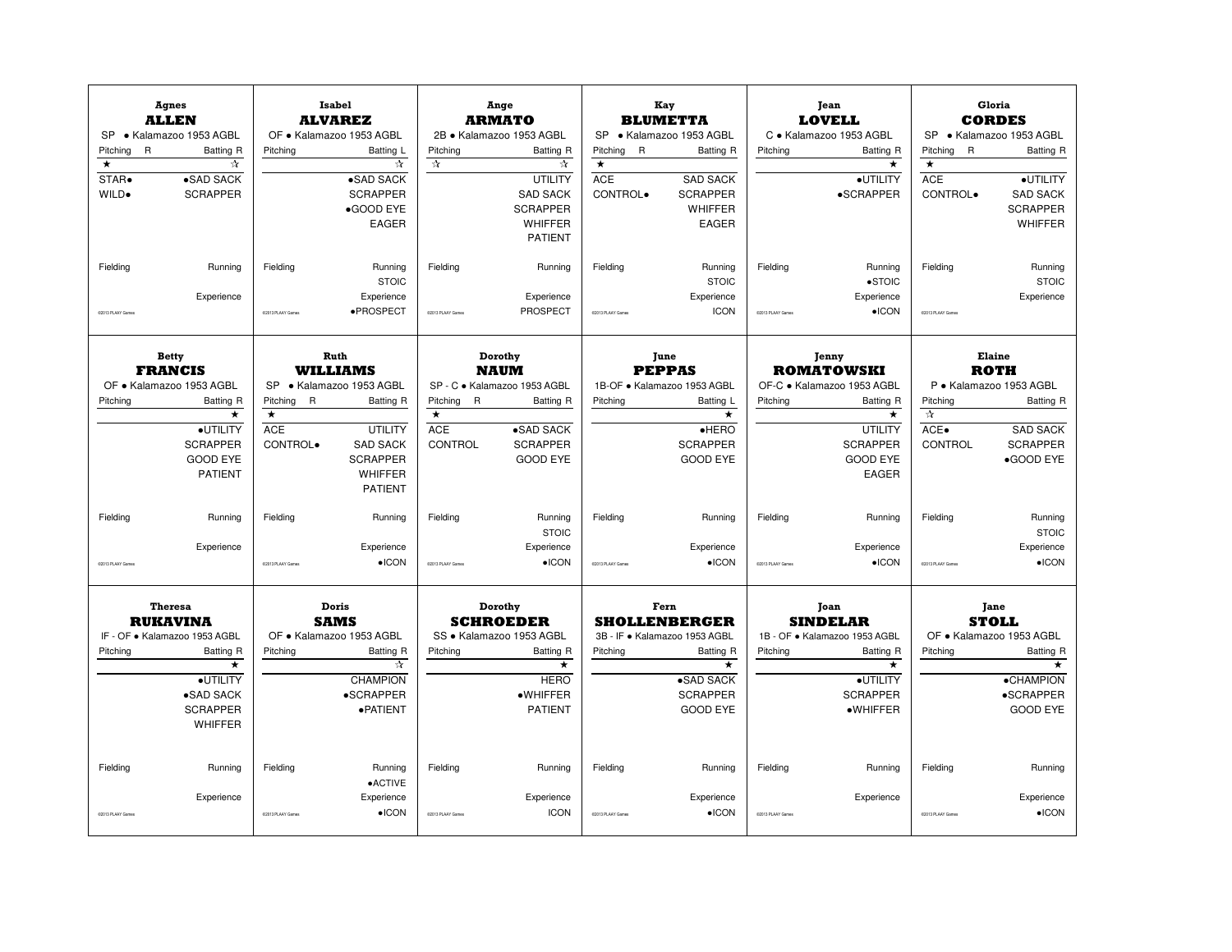| Pitching<br>$\mathsf{R}$<br>$\star$<br>STAR.<br>WILD.<br>Fielding | <b>Agnes</b><br><b>ALLEN</b><br>SP · Kalamazoo 1953 AGBL<br>Batting R<br>☆<br>•SAD SACK<br><b>SCRAPPER</b><br>Running                                    | Pitching<br>Fielding                                         | <b>Isabel</b><br><b>ALVAREZ</b><br>OF · Kalamazoo 1953 AGBL<br>Batting L<br>☆<br>•SAD SACK<br><b>SCRAPPER</b><br>•GOOD EYE<br><b>EAGER</b><br>Running | Pitchina<br>$\frac{1}{\lambda}$<br>Fielding                         | Ange<br><b>ARMATO</b><br>2B · Kalamazoo 1953 AGBL<br>Batting R<br>☆<br>UTILITY<br><b>SAD SACK</b><br><b>SCRAPPER</b><br><b>WHIFFER</b><br><b>PATIENT</b><br>Running | <b>SP</b><br>Pitchina<br>$\mathsf{R}$<br>$\star$<br><b>ACE</b><br>CONTROL.<br>Fielding | Kay<br><b>BLUMETTA</b><br>• Kalamazoo 1953 AGBL<br><b>Batting R</b><br><b>SAD SACK</b><br><b>SCRAPPER</b><br><b>WHIFFER</b><br><b>EAGER</b><br>Running | Pitching<br>Fielding         | Jean<br><b>LOVELL</b><br>C · Kalamazoo 1953 AGBL<br><b>Batting R</b><br>$\star$<br>·UTILITY<br>$\bullet$ SCRAPPER<br>Running                    | Pitching<br>$\mathsf{R}$<br>$\star$<br><b>ACE</b><br>CONTROL.<br>Fielding | <b>Gloria</b><br><b>CORDES</b><br>SP · Kalamazoo 1953 AGBL<br><b>Batting R</b><br>·UTILITY<br><b>SAD SACK</b><br><b>SCRAPPER</b><br><b>WHIFFER</b><br>Running |
|-------------------------------------------------------------------|----------------------------------------------------------------------------------------------------------------------------------------------------------|--------------------------------------------------------------|-------------------------------------------------------------------------------------------------------------------------------------------------------|---------------------------------------------------------------------|---------------------------------------------------------------------------------------------------------------------------------------------------------------------|----------------------------------------------------------------------------------------|--------------------------------------------------------------------------------------------------------------------------------------------------------|------------------------------|-------------------------------------------------------------------------------------------------------------------------------------------------|---------------------------------------------------------------------------|---------------------------------------------------------------------------------------------------------------------------------------------------------------|
| 02013 PLAAY Games                                                 | Experience                                                                                                                                               | 02013 PLAAY Games                                            | <b>STOIC</b><br>Experience<br>·PROSPECT                                                                                                               | 02013 PLAAY Games                                                   | Experience<br>PROSPECT                                                                                                                                              | 02013 PLAAY Games                                                                      | <b>STOIC</b><br>Experience<br><b>ICON</b>                                                                                                              | 02013 PLAAY Game             | $\bullet$ STOIC<br>Experience<br>$\bullet$ ICON                                                                                                 | 02013 PLAAY Games                                                         | <b>STOIC</b><br>Experience                                                                                                                                    |
| Pitching                                                          | <b>Betty</b><br><b>FRANCIS</b><br>OF · Kalamazoo 1953 AGBL<br>Batting R<br>·UTILITY<br><b>SCRAPPER</b><br><b>GOOD EYE</b>                                | <b>SP</b><br>Pitching R<br>$\star$<br><b>ACE</b><br>CONTROL. | Ruth<br><b>WILLIAMS</b><br>· Kalamazoo 1953 AGBL<br><b>Batting R</b><br><b>UTILITY</b><br><b>SAD SACK</b><br><b>SCRAPPER</b>                          | Pitching<br>$\mathsf{R}$<br>$\star$<br><b>ACE</b><br><b>CONTROL</b> | Dorothy<br><b>NAUM</b><br>SP - C · Kalamazoo 1953 AGBL<br><b>Batting R</b><br>•SAD SACK<br><b>SCRAPPER</b><br><b>GOOD EYE</b>                                       | Pitching                                                                               | June<br><b>PEPPAS</b><br>1B-OF · Kalamazoo 1953 AGBL<br>Batting L<br>$\overline{\ast}$<br>$e$ HERO<br><b>SCRAPPER</b><br><b>GOOD EYE</b>               | Pitching                     | Jenny<br><b>ROMATOWSKI</b><br>OF-C · Kalamazoo 1953 AGBL<br><b>Batting R</b><br>$\star$<br><b>UTILITY</b><br><b>SCRAPPER</b><br><b>GOOD EYE</b> | Pitching<br>$\frac{1}{2}$<br>ACE.<br>CONTROL                              | Elaine<br><b>ROTH</b><br>P · Kalamazoo 1953 AGBL<br><b>Batting R</b><br><b>SAD SACK</b><br><b>SCRAPPER</b><br>•GOOD EYE                                       |
| Fielding<br>COM3 PLAAY Games                                      | <b>PATIENT</b><br>Running<br>Experience                                                                                                                  | Fielding<br>CODI3 PLAAY Game                                 | <b>WHIFFER</b><br><b>PATIENT</b><br>Running<br>Experience<br>$\bullet$ ICON                                                                           | Fielding<br>02013 PLAAY Games                                       | Running<br><b>STOIC</b><br>Experience<br>$\bullet$ ICON                                                                                                             | Fielding<br>CO113 PLAAY Games                                                          | Running<br>Experience<br>$\bullet$ ICON                                                                                                                | Fielding<br>COM3 PLAAY Games | <b>EAGER</b><br>Running<br>Experience<br>$\bullet$ ICON                                                                                         | Fielding<br>02013 PLAAY Game                                              | Running<br><b>STOIC</b><br>Experience<br>$\bullet$ ICON                                                                                                       |
| Pitching                                                          | <b>Theresa</b><br><b>RUKAVINA</b><br>IF - OF · Kalamazoo 1953 AGBL<br>Batting R<br>$\star$<br>·UTILITY<br>·SAD SACK<br><b>SCRAPPER</b><br><b>WHIFFER</b> | Pitching                                                     | Doris<br><b>SAMS</b><br>OF · Kalamazoo 1953 AGBL<br>Batting R<br>☆<br><b>CHAMPION</b><br>•SCRAPPER<br>·PATIENT                                        | Pitching                                                            | Dorothy<br><b>SCHROEDER</b><br>SS · Kalamazoo 1953 AGBL<br><b>Batting R</b><br>$\star$<br><b>HERO</b><br>·WHIFFER<br><b>PATIENT</b>                                 | Pitching                                                                               | Fern<br><b>SHOLLENBERGER</b><br>3B - IF · Kalamazoo 1953 AGBL<br><b>Batting R</b><br>$\star$<br>•SAD SACK<br><b>SCRAPPER</b><br><b>GOOD EYE</b>        | Pitching                     | Joan<br><b>SINDELAR</b><br>1B - OF · Kalamazoo 1953 AGBL<br><b>Batting R</b><br>$\star$<br>·UTILITY<br><b>SCRAPPER</b><br>·WHIFFER              | Pitching                                                                  | Jane<br><b>STOLL</b><br>OF · Kalamazoo 1953 AGBL<br><b>Batting R</b><br>★<br><b>•CHAMPION</b><br>•SCRAPPER<br><b>GOOD EYE</b>                                 |
| Fielding<br>02013 PLAAY Game                                      | Running<br>Experience                                                                                                                                    | Fielding<br>C2013 PLAAY Game                                 | Running<br>•ACTIVE<br>Experience<br>$\bullet$ ICON                                                                                                    | Fielding<br>C2013 PLAAY Games                                       | Running<br>Experience<br><b>ICON</b>                                                                                                                                | Fielding<br>CO113 PLAAY Game                                                           | Running<br>Experience<br>$\bullet$ ICON                                                                                                                | Fielding<br>COM3 PLAAY Game  | Running<br>Experience                                                                                                                           | Fielding<br>CODI3 PLAAY Game                                              | Running<br>Experience<br>$\bullet$ ICON                                                                                                                       |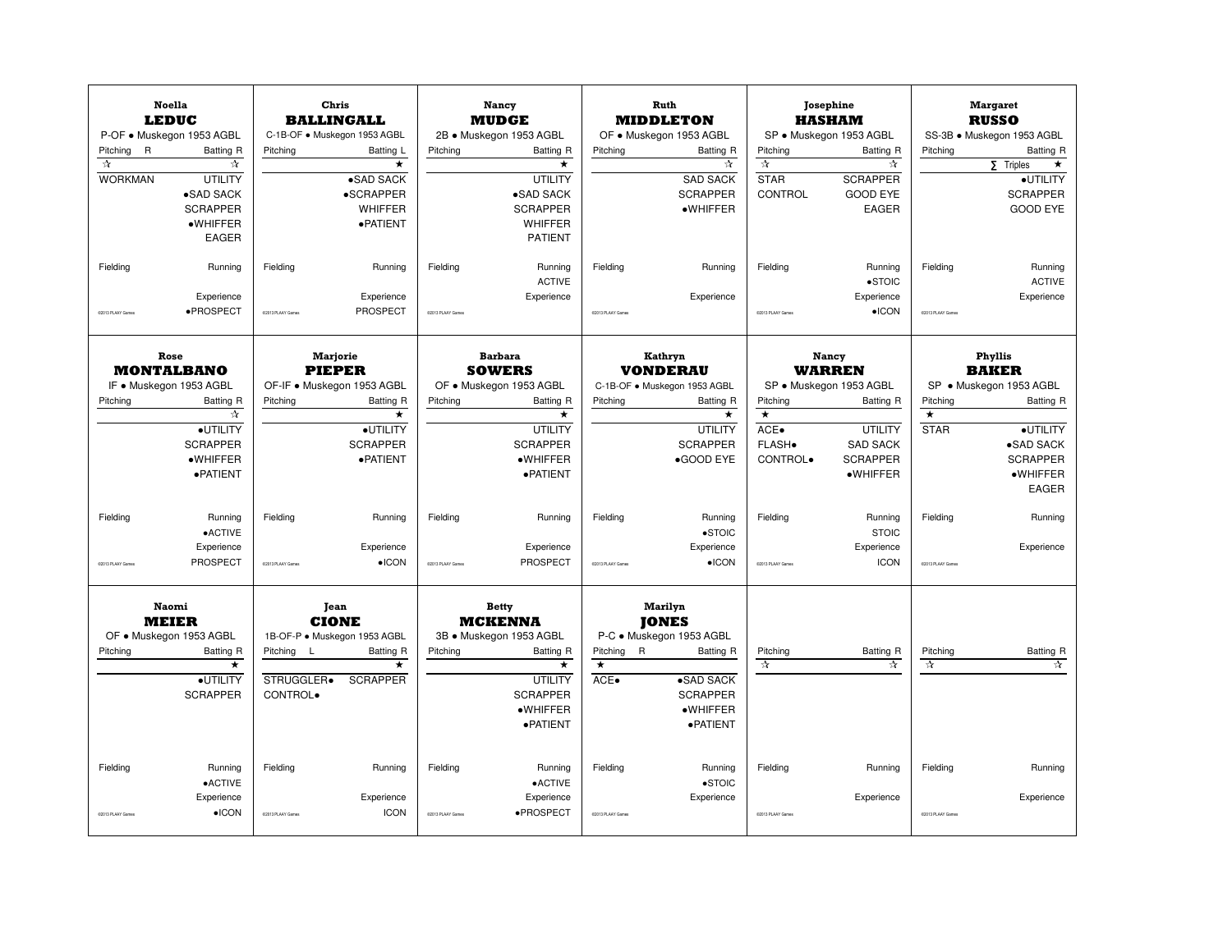| Pitching<br>$\mathsf{R}$<br>$\chi_{\rm T}$<br><b>WORKMAN</b><br>Fielding | <b>Noella</b><br><b>LEDUC</b><br>P-OF · Muskegon 1953 AGBL<br><b>Batting R</b><br>☆<br><b>UTILITY</b><br>•SAD SACK<br><b>SCRAPPER</b><br>·WHIFFER<br><b>EAGER</b><br>Running | Pitching<br>Fielding                 | Chris<br><b>BALLINGALL</b><br>C-1B-OF · Muskegon 1953 AGBL<br>Batting L<br>$\star$<br>•SAD SACK<br>•SCRAPPER<br><b>WHIFFER</b><br>·PATIENT<br>Running | Pitching<br>Fielding          | Nancy<br><b>MUDGE</b><br>2B · Muskegon 1953 AGBL<br><b>Batting R</b><br>$\star$<br>UTILITY<br>•SAD SACK<br><b>SCRAPPER</b><br><b>WHIFFER</b><br><b>PATIENT</b><br>Running | Pitching<br>Fielding          | Ruth<br><b>MIDDLETON</b><br>OF . Muskegon 1953 AGBL<br><b>Batting R</b><br>☆<br><b>SAD SACK</b><br><b>SCRAPPER</b><br>$\bullet$ WHIFFER<br>Running | Pitching<br>$\pi$<br><b>STAR</b><br>CONTROL<br>Fielding   | Josephine<br><b>HASHAM</b><br>SP · Muskegon 1953 AGBL<br>Batting R<br>☆<br><b>SCRAPPER</b><br><b>GOOD EYE</b><br><b>EAGER</b><br>Running           | Pitching<br>Fielding               | <b>Margaret</b><br><b>RUSSO</b><br>SS-3B · Muskegon 1953 AGBL<br><b>Batting R</b><br>$\Sigma$ Triples<br>$\star$<br>·UTILITY<br><b>SCRAPPER</b><br><b>GOOD EYE</b><br>Running |
|--------------------------------------------------------------------------|------------------------------------------------------------------------------------------------------------------------------------------------------------------------------|--------------------------------------|-------------------------------------------------------------------------------------------------------------------------------------------------------|-------------------------------|---------------------------------------------------------------------------------------------------------------------------------------------------------------------------|-------------------------------|----------------------------------------------------------------------------------------------------------------------------------------------------|-----------------------------------------------------------|----------------------------------------------------------------------------------------------------------------------------------------------------|------------------------------------|-------------------------------------------------------------------------------------------------------------------------------------------------------------------------------|
| 02013 PLAAY Games                                                        | Experience<br>·PROSPECT                                                                                                                                                      | 02013 PLAAY Games                    | Experience<br>PROSPECT                                                                                                                                | 02013 PLAAY Games             | <b>ACTIVE</b><br>Experience                                                                                                                                               | C2013 PLAAY Games             | Experience                                                                                                                                         | C2013 PLAAY Games                                         | $\bullet$ STOIC<br>Experience<br>$\bullet$ ICON                                                                                                    | 02013 PLAAY Games                  | <b>ACTIVE</b><br>Experience                                                                                                                                                   |
| Pitching                                                                 | Rose<br><b>MONTALBANO</b><br>IF . Muskegon 1953 AGBL<br>Batting R<br>☆<br>·UTILITY<br><b>SCRAPPER</b><br>·WHIFFER<br>· PATIENT                                               | Pitching                             | <b>Marjorie</b><br><b>PIEPER</b><br>OF-IF · Muskegon 1953 AGBL<br>Batting R<br>$\star$<br>·UTILITY<br><b>SCRAPPER</b><br>·PATIENT                     | Pitching                      | <b>Barbara</b><br><b>SOWERS</b><br>OF . Muskegon 1953 AGBL<br><b>Batting R</b><br>$\star$<br>UTILITY<br><b>SCRAPPER</b><br>·WHIFFER<br>· PATIENT                          | Pitching                      | Kathryn<br><b>VONDERAU</b><br>C-1B-OF . Muskegon 1953 AGBL<br><b>Batting R</b><br>$\star$<br>UTILITY<br><b>SCRAPPER</b><br>•GOOD EYE               | Pitching<br>$\star$<br>$ACE\bullet$<br>FLASH.<br>CONTROL. | Nancy<br><b>WARREN</b><br>SP · Muskegon 1953 AGBL<br><b>Batting R</b><br><b>UTILITY</b><br><b>SAD SACK</b><br><b>SCRAPPER</b><br>$\bullet$ WHIFFER | Pitching<br>$\star$<br><b>STAR</b> | <b>Phyllis</b><br><b>BAKER</b><br>SP · Muskegon 1953 AGBL<br><b>Batting R</b><br>·UTILITY<br>•SAD SACK<br><b>SCRAPPER</b><br>$\bullet$ WHIFFER<br><b>EAGER</b>                |
| Fielding<br>COM3 PLAAY Games                                             | Running<br>$\bullet$ ACTIVE<br>Experience<br>PROSPECT                                                                                                                        | Fielding<br>02013 PLAAY Game         | Running<br>Experience<br>$\bullet$ ICON                                                                                                               | Fielding<br>02013 PLAAY Games | Running<br>Experience<br>PROSPECT                                                                                                                                         | Fielding<br>CO113 PLAAY Games | Running<br>$\bullet$ STOIC<br>Experience<br>$\bullet$ ICON                                                                                         | Fielding<br>COM3 PLAAY Games                              | Running<br><b>STOIC</b><br>Experience<br><b>ICON</b>                                                                                               | Fielding<br>02013 PLAAY Games      | Running<br>Experience                                                                                                                                                         |
| Pitching                                                                 | <b>Naomi</b><br><b>MEIER</b><br>OF . Muskegon 1953 AGBL<br>Batting R<br>*<br>·UTILITY<br><b>SCRAPPER</b>                                                                     | Pitching L<br>STRUGGLER.<br>CONTROL. | Jean<br><b>CIONE</b><br>1B-OF-P · Muskegon 1953 AGBL<br>Batting R<br>$\star$<br><b>SCRAPPER</b>                                                       | Pitching                      | <b>Betty</b><br><b>MCKENNA</b><br>3B · Muskegon 1953 AGBL<br>Batting R<br>$\star$<br><b>UTILITY</b><br><b>SCRAPPER</b><br>·WHIFFER<br>· PATIENT                           | Pitching R<br>$\star$<br>ACE. | <b>Marilyn</b><br><b>TONES</b><br>P-C · Muskegon 1953 AGBL<br><b>Batting R</b><br>•SAD SACK<br><b>SCRAPPER</b><br>·WHIFFER<br>· PATIENT            | Pitching<br>$\frac{1}{\lambda}$                           | <b>Batting R</b><br>☆                                                                                                                              | Pitching<br>$\frac{1}{24}$         | <b>Batting R</b><br>☆                                                                                                                                                         |
| Fielding<br>02013 PLAAY Game                                             | Running<br>$\bullet$ ACTIVE<br>Experience<br>$\bullet$ ICON                                                                                                                  | Fielding<br>C2013 PLAAY Game         | Running<br>Experience<br><b>ICON</b>                                                                                                                  | Fielding<br>C2013 PLAAY Game  | Running<br>$\bullet$ ACTIVE<br>Experience<br>·PROSPECT                                                                                                                    | Fielding<br>CO113 PLAAY Game  | Running<br>$\bullet$ STOIC<br>Experience                                                                                                           | Fielding<br>COM3 PLAAY Game                               | Running<br>Experience                                                                                                                              | Fielding<br>CO113 PLAAY Game       | Running<br>Experience                                                                                                                                                         |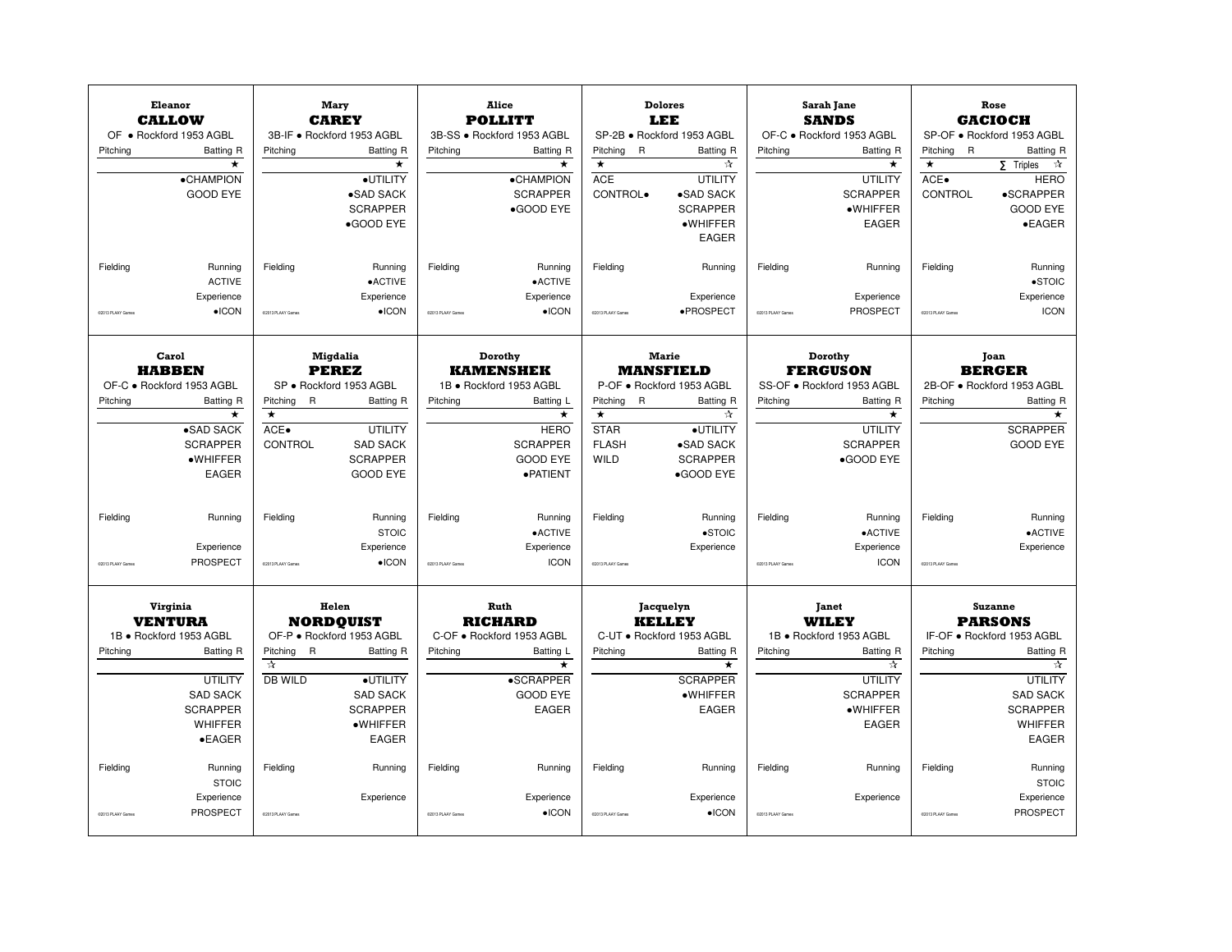|                   | Eleanor<br><b>CALLOW</b>   |                                          | Mary<br><b>CAREY</b>                    |                   | Alice<br><b>POLLITT</b>    |                            | <b>Dolores</b><br>LEE                         |                   | Sarah Jane<br><b>SANDS</b> |                          | Rose<br><b>GACIOCH</b>           |
|-------------------|----------------------------|------------------------------------------|-----------------------------------------|-------------------|----------------------------|----------------------------|-----------------------------------------------|-------------------|----------------------------|--------------------------|----------------------------------|
|                   | OF . Rockford 1953 AGBL    |                                          | 3B-IF · Rockford 1953 AGBL              |                   | 3B-SS · Rockford 1953 AGBL |                            | SP-2B · Rockford 1953 AGBL                    |                   | OF-C · Rockford 1953 AGBL  |                          | SP-OF · Rockford 1953 AGBL       |
| Pitching          | Batting R                  | Pitching                                 | <b>Batting R</b>                        | Pitchina          | Batting R                  | Pitchina<br>$\overline{R}$ | <b>Batting R</b>                              | Pitchina          | Batting R                  | Pitching<br>$\mathsf{R}$ | <b>Batting R</b>                 |
|                   | $\star$                    |                                          | $\star$                                 |                   | $\star$                    | $\star$                    | ☆                                             |                   | $\star$                    | $\star$                  | $\tau$<br>$5$ Triples            |
|                   | •CHAMPION                  |                                          | ·UTILITY                                |                   | •CHAMPION                  | <b>ACE</b>                 | UTILITY                                       |                   | <b>UTILITY</b>             | ACE.                     | <b>HERO</b>                      |
|                   | <b>GOOD EYE</b>            |                                          | •SAD SACK                               |                   | <b>SCRAPPER</b>            | CONTROL.                   | •SAD SACK                                     |                   | <b>SCRAPPER</b>            | CONTROL                  | •SCRAPPER                        |
|                   |                            |                                          | <b>SCRAPPER</b>                         |                   | ·GOOD EYE                  |                            | <b>SCRAPPER</b>                               |                   | $\bullet$ WHIFFER          |                          | <b>GOOD EYE</b>                  |
|                   |                            |                                          | •GOOD EYE                               |                   |                            |                            | ·WHIFFER                                      |                   | <b>EAGER</b>               |                          | $\bullet$ EAGER                  |
|                   |                            |                                          |                                         |                   |                            |                            | <b>EAGER</b>                                  |                   |                            |                          |                                  |
|                   |                            |                                          |                                         |                   |                            |                            |                                               |                   |                            |                          |                                  |
| Fielding          | Running                    | Fielding                                 | Running                                 | Fielding          | Running                    | Fielding                   | Running                                       | Fielding          | Running                    | Fielding                 | Running                          |
|                   | <b>ACTIVE</b>              |                                          | •ACTIVE                                 |                   | •ACTIVE                    |                            |                                               |                   |                            |                          | $\bullet$ STOIC                  |
|                   | Experience                 |                                          | Experience                              |                   | Experience                 |                            | Experience                                    |                   | Experience                 |                          | Experience                       |
|                   | $\bullet$ ICON             |                                          | $\bullet$ ICON                          |                   | $\bullet$ ICON             |                            | ·PROSPECT                                     |                   | PROSPECT                   |                          | <b>ICON</b>                      |
| 02013 PLAAY Games |                            | 02013 PLAAY Games                        |                                         | 02013 PLAAY Games |                            | C2013 PLAAY Games          |                                               | 02013 PLAAY Games |                            | 02013 PLAAY Games        |                                  |
|                   | Carol                      |                                          | Migdalia                                |                   | Dorothy                    |                            | <b>Marie</b>                                  |                   | Dorothy                    |                          |                                  |
|                   | <b>HABBEN</b>              |                                          |                                         |                   | <b>KAMENSHEK</b>           |                            |                                               |                   | <b>FERGUSON</b>            | Joan<br><b>BERGER</b>    |                                  |
|                   | OF-C · Rockford 1953 AGBL  |                                          | <b>PEREZ</b><br>SP · Rockford 1953 AGBL |                   | 1B · Rockford 1953 AGBL    |                            | <b>MANSFIELD</b><br>P-OF · Rockford 1953 AGBL |                   | SS-OF · Rockford 1953 AGBL |                          | 2B-OF · Rockford 1953 AGBL       |
|                   |                            |                                          |                                         |                   |                            |                            |                                               |                   |                            |                          |                                  |
| Pitching          | Batting R                  | Pitching<br>R<br>$\star$                 | Batting R                               | Pitching          | Batting L<br>$\star$       | Pitching R<br>$\star$      | <b>Batting R</b><br>☆                         | Pitching          | Batting R<br>$\star$       | Pitching                 | <b>Batting R</b><br>$\star$      |
|                   | ·SAD SACK                  | ACE.                                     | <b>UTILITY</b>                          |                   | <b>HERO</b>                | <b>STAR</b>                | ·UTILITY                                      |                   | <b>UTILITY</b>             |                          | <b>SCRAPPER</b>                  |
|                   | <b>SCRAPPER</b>            | CONTROL                                  | <b>SAD SACK</b>                         |                   | <b>SCRAPPER</b>            | <b>FLASH</b>               | •SAD SACK                                     |                   | <b>SCRAPPER</b>            |                          | <b>GOOD EYE</b>                  |
|                   | $\bullet$ WHIFFER          |                                          | <b>SCRAPPER</b>                         |                   | <b>GOOD EYE</b>            | WILD                       | <b>SCRAPPER</b>                               |                   | •GOOD EYE                  |                          |                                  |
|                   | <b>EAGER</b>               |                                          | <b>GOOD EYE</b>                         |                   | · PATIENT                  |                            | •GOOD EYE                                     |                   |                            |                          |                                  |
|                   |                            |                                          |                                         |                   |                            |                            |                                               |                   |                            |                          |                                  |
|                   |                            |                                          |                                         |                   |                            |                            |                                               |                   |                            |                          |                                  |
| Fielding          | Running                    | Fielding                                 | Running                                 | Fielding          | Running                    | Fielding                   | Running                                       | Fielding          | Running                    | Fielding                 | Running                          |
|                   |                            |                                          | <b>STOIC</b>                            |                   | $\bullet$ ACTIVE           |                            | $\bullet$ STOIC                               |                   | •ACTIVE                    |                          | •ACTIVE                          |
|                   | Experience                 |                                          | Experience                              |                   | Experience                 |                            | Experience                                    |                   | Experience                 |                          | Experience                       |
| 02013 PLAAY Games | PROSPECT                   | 02013 PLAAY Games                        | $\bullet$ ICON                          | 02013 PLAAY Games | <b>ICON</b>                | 02013 PLAAY Games          |                                               | 02013 PLAAY Games | <b>ICON</b>                | 02013 PLAAY Games        |                                  |
|                   | Virginia<br><b>VENTURA</b> |                                          | Helen<br><b>NORDOUIST</b>               |                   | Ruth<br><b>RICHARD</b>     |                            | Jacquelyn<br><b>KELLEY</b>                    |                   | Janet<br><b>WILEY</b>      |                          | <b>Suzanne</b><br><b>PARSONS</b> |
|                   | 1B · Rockford 1953 AGBL    |                                          | OF-P · Rockford 1953 AGBL               |                   | C-OF . Rockford 1953 AGBL  |                            | C-UT · Rockford 1953 AGBL                     |                   | 1B · Rockford 1953 AGBL    |                          | IF-OF . Rockford 1953 AGBL       |
| Pitching          | Batting R                  | Pitching<br>$\mathsf{R}$<br>$\mathbf{r}$ | Batting R                               | Pitching          | Batting L<br>$\star$       | Pitching                   | Batting R<br>$\star$                          | Pitching          | Batting R                  | Pitching                 | <b>Batting R</b><br>☆            |
|                   |                            |                                          |                                         |                   |                            |                            |                                               |                   | ☆                          |                          |                                  |
|                   | <b>UTILITY</b>             | DB WILD                                  | ·UTILITY                                |                   | <b>•SCRAPPER</b>           |                            | <b>SCRAPPER</b>                               |                   | <b>UTILITY</b>             |                          | <b>UTILITY</b>                   |
|                   | <b>SAD SACK</b>            |                                          | <b>SAD SACK</b>                         |                   | <b>GOOD EYE</b>            |                            | ·WHIFFER                                      |                   | <b>SCRAPPER</b>            |                          | <b>SAD SACK</b>                  |
|                   | <b>SCRAPPER</b>            |                                          | <b>SCRAPPER</b>                         |                   | EAGER                      |                            | EAGER                                         |                   | $\bullet$ WHIFFER          |                          | <b>SCRAPPER</b>                  |
|                   | <b>WHIFFER</b>             |                                          | ·WHIFFER                                |                   |                            |                            |                                               |                   | <b>EAGER</b>               |                          | WHIFFER                          |
|                   | $\bullet$ EAGER            |                                          | EAGER                                   |                   |                            |                            |                                               |                   |                            |                          | EAGER                            |
| Fielding          | Running                    | Fielding                                 | Running                                 | Fielding          | Running                    | Fielding                   | Running                                       | Fielding          | Running                    | Fielding                 | Running                          |
|                   | <b>STOIC</b>               |                                          |                                         |                   |                            |                            |                                               |                   |                            |                          | <b>STOIC</b>                     |
|                   | Experience                 |                                          | Experience                              |                   | Experience                 |                            | Experience                                    |                   | Experience                 |                          | Experience                       |
| COD13 PLAAY Games | PROSPECT                   | CO013 PLAAY Games                        |                                         | C2013 PLAAY Games | $\bullet$ ICON             | CO113 PLAAY Games          | $\bullet$ ICON                                | COD13 PLAAY Games |                            | CODI3 PLAAY Game         | PROSPECT                         |
|                   |                            |                                          |                                         |                   |                            |                            |                                               |                   |                            |                          |                                  |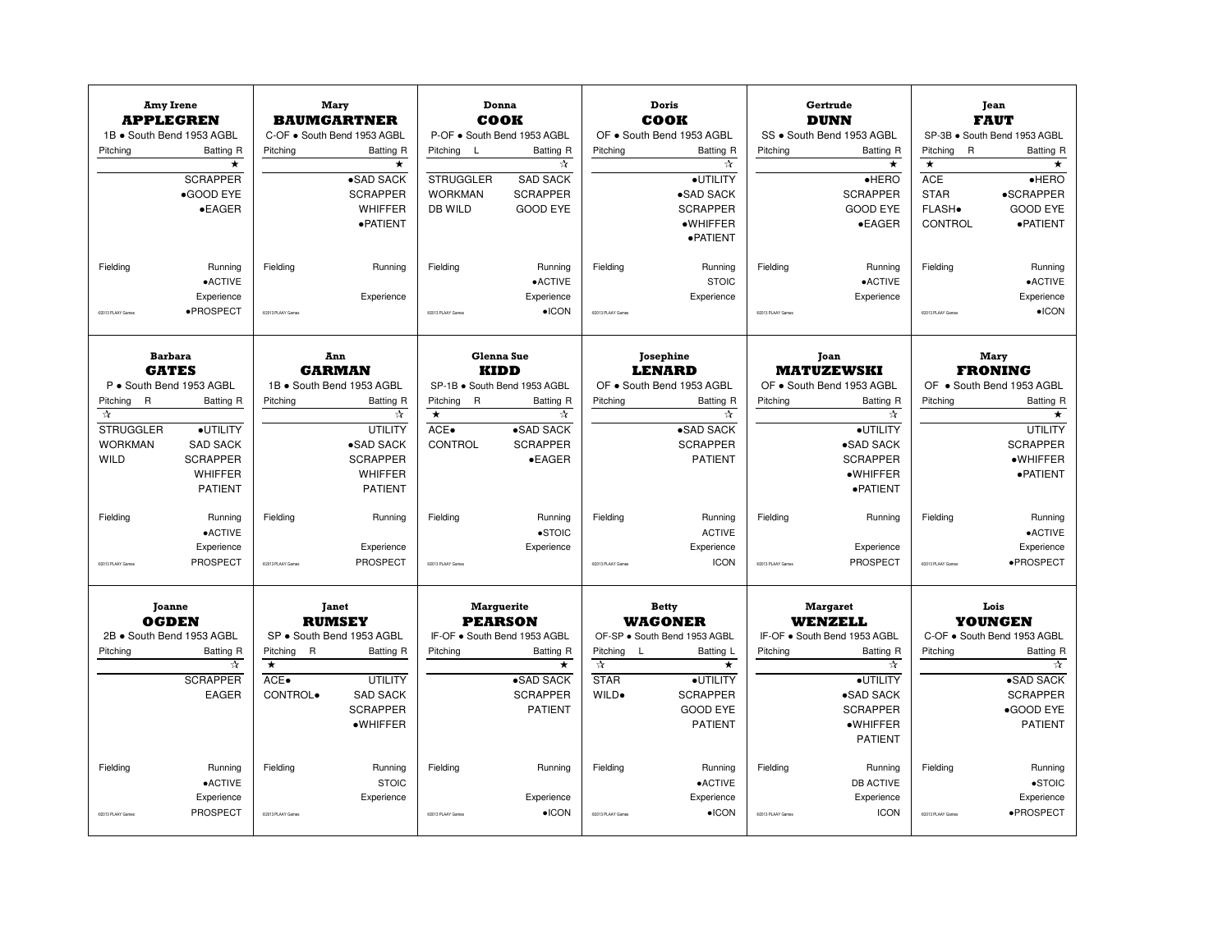| <b>Amy Irene</b><br><b>APPLEGREN</b> |                      |                               | Donna<br>Doris<br>Gertrude<br>Mary<br>COOK<br><b>DUNN</b><br><b>BAUMGARTNER</b><br>COOK |                                     | SS . South Bend 1953 AGBL |                                   | Jean<br><b>FAUT</b>                  |                   |                                    |                          |                              |  |
|--------------------------------------|----------------------|-------------------------------|-----------------------------------------------------------------------------------------|-------------------------------------|---------------------------|-----------------------------------|--------------------------------------|-------------------|------------------------------------|--------------------------|------------------------------|--|
| 1B . South Bend 1953 AGBL            |                      |                               | C-OF . South Bend 1953 AGBL                                                             | P-OF . South Bend 1953 AGBL         |                           |                                   | OF . South Bend 1953 AGBL            |                   |                                    |                          | SP-3B · South Bend 1953 AGBL |  |
| Pitching                             | <b>Batting R</b>     | Pitching                      | Batting R                                                                               | Pitching<br>L                       | <b>Batting R</b>          | Pitching                          | <b>Batting R</b>                     | Pitchina          | <b>Batting R</b>                   | $\mathsf{R}$<br>Pitching | <b>Batting R</b>             |  |
|                                      | $\star$              |                               | $\star$                                                                                 |                                     | ☆                         |                                   | ☆                                    |                   | $\star$                            | $\star$                  | $\star$                      |  |
|                                      | <b>SCRAPPER</b>      |                               | $\overline{\bullet}$ SAD SACK                                                           | <b>STRUGGLER</b>                    | <b>SAD SACK</b>           |                                   | ·UTILITY                             |                   | $\bullet$ HERO                     | <b>ACE</b>               | HERO                         |  |
|                                      | •GOOD EYE            |                               | <b>SCRAPPER</b>                                                                         | <b>WORKMAN</b>                      | <b>SCRAPPER</b>           |                                   | •SAD SACK                            |                   | <b>SCRAPPER</b>                    | <b>STAR</b>              | •SCRAPPER                    |  |
|                                      | $\bullet$ EAGER      |                               | WHIFFER<br>·PATIENT                                                                     | DB WILD                             | <b>GOOD EYE</b>           |                                   | <b>SCRAPPER</b><br>$\bullet$ WHIFFER |                   | <b>GOOD EYE</b><br>$\bullet$ EAGER | FLASH.<br>CONTROL        | <b>GOOD EYE</b><br>·PATIENT  |  |
|                                      |                      |                               |                                                                                         |                                     |                           |                                   | · PATIENT                            |                   |                                    |                          |                              |  |
|                                      |                      |                               |                                                                                         |                                     |                           |                                   |                                      |                   |                                    |                          |                              |  |
| Fielding                             | Running              | Fielding                      | Running                                                                                 | Fielding                            | Running                   | Fielding                          | Running                              | Fielding          | Running                            | Fielding                 | Running                      |  |
|                                      | $\bullet$ ACTIVE     |                               |                                                                                         |                                     | $\bullet$ ACTIVE          |                                   | <b>STOIC</b>                         |                   | $\bullet$ ACTIVE                   |                          | •ACTIVE                      |  |
|                                      | Experience           |                               | Experience                                                                              |                                     | Experience                |                                   | Experience                           |                   | Experience                         |                          | Experience                   |  |
| 02013 PLAAY Games                    | ·PROSPECT            | 02013 PLAAY Game              |                                                                                         | 02013 PLAAY Game                    | $\bullet$ ICON            | CO113 PLAAY Game                  |                                      | CODI3 PLAAY Game  |                                    | 02013 PLAAY Game         | $\bullet$ ICON               |  |
| <b>Barbara</b>                       |                      |                               | Ann                                                                                     |                                     | Glenna Sue                |                                   |                                      |                   |                                    |                          |                              |  |
| <b>GATES</b>                         |                      |                               | <b>GARMAN</b>                                                                           | <b>KIDD</b>                         |                           |                                   | Josephine<br><b>LENARD</b>           |                   | Joan<br><b>MATUZEWSKI</b>          | Mary<br><b>FRONING</b>   |                              |  |
| P · South Bend 1953 AGBL             |                      |                               | 1B · South Bend 1953 AGBL                                                               | SP-1B · South Bend 1953 AGBL        |                           |                                   | OF . South Bend 1953 AGBL            |                   | OF . South Bend 1953 AGBL          |                          | OF . South Bend 1953 AGBL    |  |
| $\overline{R}$<br>Pitching           | Batting R            | Pitching                      | Batting R                                                                               | Pitching<br>$\mathsf{R}$            | Batting R                 | Pitching                          | <b>Batting R</b>                     | Pitching          | Batting R                          | Pitching                 | <b>Batting R</b>             |  |
| $\pi$                                |                      |                               | $\frac{1}{\lambda}$                                                                     | $\star$                             | ☆                         |                                   | ☆                                    |                   | ☆                                  |                          | $\star$                      |  |
| <b>STRUGGLER</b>                     | ·UTILITY             |                               | UTILITY                                                                                 | ACE.                                | •SAD SACK                 |                                   | •SAD SACK                            |                   | ·UTILITY                           |                          | UTILITY                      |  |
| <b>WORKMAN</b>                       | <b>SAD SACK</b>      |                               | •SAD SACK                                                                               | CONTROL                             | <b>SCRAPPER</b>           |                                   | <b>SCRAPPER</b>                      |                   | •SAD SACK                          |                          | <b>SCRAPPER</b>              |  |
| <b>WILD</b>                          | <b>SCRAPPER</b>      |                               | <b>SCRAPPER</b>                                                                         |                                     | $\bullet$ EAGER           |                                   | <b>PATIENT</b>                       |                   | <b>SCRAPPER</b>                    |                          | $\bullet$ WHIFFER            |  |
|                                      | <b>WHIFFER</b>       |                               | <b>WHIFFER</b>                                                                          |                                     |                           |                                   |                                      |                   | $\bullet$ WHIFFER                  |                          | ·PATIENT                     |  |
|                                      | <b>PATIENT</b>       |                               | <b>PATIENT</b>                                                                          |                                     |                           |                                   |                                      |                   | · PATIENT                          |                          |                              |  |
| Fielding                             | Running              | Fielding                      | Running                                                                                 | Fielding                            | Running                   | Fielding                          | Running                              | Fielding          | Running                            | Fielding                 | Running                      |  |
|                                      | $\bullet$ ACTIVE     |                               |                                                                                         |                                     | $\bullet$ STOIC           |                                   | <b>ACTIVE</b>                        |                   |                                    |                          | •ACTIVE                      |  |
|                                      | Experience           |                               | Experience                                                                              |                                     | Experience                |                                   | Experience                           |                   | Experience                         |                          | Experience                   |  |
| 02013 PLAAY Games                    | PROSPECT             | 02013 PLAAY Games             | PROSPECT                                                                                | 02013 PLAAY Games                   |                           | C2013 PLAAY Games                 | <b>ICON</b>                          | C2013 PLAAY Games | PROSPECT                           | 02013 PLAAY Games        | ·PROSPECT                    |  |
| <b>Joanne</b><br><b>OGDEN</b>        |                      |                               | Janet<br><b>RUMSEY</b>                                                                  | <b>Marguerite</b><br><b>PEARSON</b> |                           |                                   | <b>Betty</b><br><b>WAGONER</b>       |                   | <b>Margaret</b><br><b>WENZELL</b>  |                          | Lois<br><b>YOUNGEN</b>       |  |
| 2B · South Bend 1953 AGBL            |                      |                               | SP · South Bend 1953 AGBL                                                               | IF-OF . South Bend 1953 AGBL        |                           |                                   | OF-SP · South Bend 1953 AGBL         |                   | IF-OF . South Bend 1953 AGBL       |                          | C-OF . South Bend 1953 AGBL  |  |
| Pitching                             | Batting R            | Pitching<br>$\mathsf{R}$<br>∓ | Batting R                                                                               | Pitching                            | Batting R                 | Pitching L<br>$\frac{1}{\lambda}$ | Batting L                            | Pitching          | Batting R                          | Pitching                 | <b>Batting R</b>             |  |
|                                      | ☆<br><b>SCRAPPER</b> | ACE.                          | <b>UTILITY</b>                                                                          |                                     | ★<br>•SAD SACK            | <b>STAR</b>                       | $\star$<br>·UTILITY                  |                   | ☆<br>·UTILITY                      |                          | ☆<br>•SAD SACK               |  |
|                                      | <b>EAGER</b>         | CONTROL.                      | <b>SAD SACK</b>                                                                         |                                     | <b>SCRAPPER</b>           | WILD.                             | <b>SCRAPPER</b>                      |                   | ·SAD SACK                          |                          | <b>SCRAPPER</b>              |  |
|                                      |                      |                               | <b>SCRAPPER</b>                                                                         |                                     | <b>PATIENT</b>            |                                   | <b>GOOD EYE</b>                      |                   | <b>SCRAPPER</b>                    |                          | •GOOD EYE                    |  |
|                                      |                      |                               | ·WHIFFER                                                                                |                                     |                           |                                   | <b>PATIENT</b>                       |                   | $\bullet$ WHIFFER                  |                          | <b>PATIENT</b>               |  |
|                                      |                      |                               |                                                                                         |                                     |                           |                                   |                                      |                   | <b>PATIENT</b>                     |                          |                              |  |
| Fielding                             | Running              | Fielding                      | Running                                                                                 | Fielding                            | Running                   | Fielding                          | Running                              | Fielding          | Running                            | Fielding                 | Running                      |  |
|                                      | • ACTIVE             |                               | <b>STOIC</b>                                                                            |                                     |                           |                                   | •ACTIVE                              |                   | <b>DB ACTIVE</b>                   |                          | $\bullet$ STOIC              |  |
|                                      | Experience           |                               | Experience                                                                              |                                     | Experience                |                                   | Experience                           |                   | Experience                         |                          | Experience                   |  |
| CODI3 PLAAY Games                    | PROSPECT             | 02013 PLAAY Game              |                                                                                         | C2013 PLAAY Games                   | $\bullet$ ICON            | COL13 PLAAY Games                 | $\bullet$ ICON                       | COM3 PLAAY Game   | <b>ICON</b>                        | 02013 PLAAY Game         | ·PROSPECT                    |  |
|                                      |                      |                               |                                                                                         |                                     |                           |                                   |                                      |                   |                                    |                          |                              |  |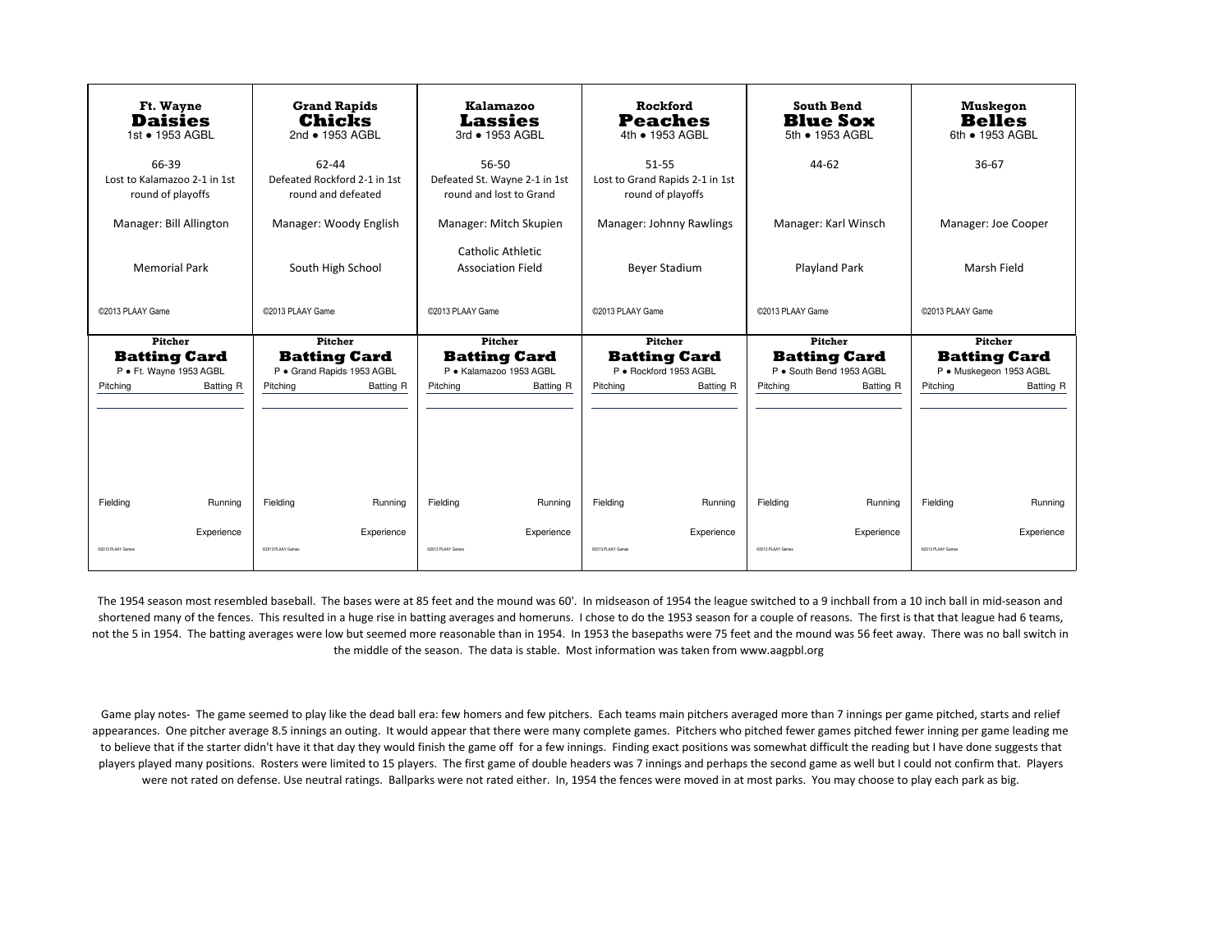| Ft. Wayne<br><b>Daisies</b><br>1st • 1953 AGBL             | <b>Grand Rapids</b><br>Chicks<br>2nd • 1953 AGBL            | <b>Kalamazoo</b><br><b>Lassies</b><br>3rd • 1953 AGBL             | Rockford<br><b>Peaches</b><br>4th • 1953 AGBL                 | <b>South Bend</b><br><b>Blue Sox</b><br>5th • 1953 AGBL | Muskegon<br><b>Belles</b><br>6th • 1953 AGBL   |
|------------------------------------------------------------|-------------------------------------------------------------|-------------------------------------------------------------------|---------------------------------------------------------------|---------------------------------------------------------|------------------------------------------------|
| 66-39<br>Lost to Kalamazoo 2-1 in 1st<br>round of playoffs | 62-44<br>Defeated Rockford 2-1 in 1st<br>round and defeated | 56-50<br>Defeated St. Wayne 2-1 in 1st<br>round and lost to Grand | 51-55<br>Lost to Grand Rapids 2-1 in 1st<br>round of playoffs | $44 - 62$                                               | 36-67                                          |
| Manager: Bill Allington                                    | Manager: Woody English                                      | Manager: Mitch Skupien                                            | Manager: Johnny Rawlings                                      | Manager: Karl Winsch                                    | Manager: Joe Cooper                            |
| <b>Memorial Park</b>                                       | South High School                                           | Catholic Athletic<br><b>Association Field</b>                     | <b>Bever Stadium</b>                                          | <b>Playland Park</b>                                    | Marsh Field                                    |
| ©2013 PLAAY Game                                           | ©2013 PLAAY Game                                            | ©2013 PLAAY Game<br>©2013 PLAAY Game<br>@2013 PLAAY Game          |                                                               |                                                         | ©2013 PLAAY Game                               |
|                                                            |                                                             |                                                                   |                                                               |                                                         |                                                |
| <b>Pitcher</b>                                             | <b>Pitcher</b>                                              | <b>Pitcher</b>                                                    | <b>Pitcher</b>                                                | <b>Pitcher</b>                                          | <b>Pitcher</b>                                 |
| <b>Batting Card</b><br>P · Ft. Wayne 1953 AGBL             | <b>Batting Card</b><br>P · Grand Rapids 1953 AGBL           | <b>Batting Card</b><br>P · Kalamazoo 1953 AGBL                    | <b>Batting Card</b><br>P · Rockford 1953 AGBL                 | <b>Batting Card</b><br>P · South Bend 1953 AGBL         | <b>Batting Card</b><br>P · Muskegeon 1953 AGBL |
| Batting R<br>Pitching                                      | Pitching<br>Batting R                                       | Pitching<br>Batting R                                             | Pitching<br>Batting R                                         | Pitching<br>Batting R                                   | Pitching<br>Batting R                          |
|                                                            |                                                             |                                                                   |                                                               |                                                         |                                                |
| Fielding<br>Running                                        | Fielding<br>Running                                         | Fielding<br>Running                                               | Fieldina<br>Running                                           | Fielding<br>Running                                     | Fielding<br>Runnina                            |

The 1954 season most resembled baseball. The bases were at 85 feet and the mound was 60'. In midseason of 1954 the league switched to a 9 inchball from a 10 inch ball in mid-season and shortened many of the fences. This resulted in a huge rise in batting averages and homeruns. I chose to do the 1953 season for a couple of reasons. The first is that that league had 6 teams, not the 5 in 1954. The batting averages were low but seemed more reasonable than in 1954. In 1953 the basepaths were 75 feet and the mound was 56 feet away. There was no ball switch in the middle of the season. The data is stable. Most information was taken from www.aagpbl.org

Game play notes- The game seemed to play like the dead ball era: few homers and few pitchers. Each teams main pitchers averaged more than 7 innings per game pitched, starts and relief appearances. One pitcher average 8.5 innings an outing. It would appear that there were many complete games. Pitchers who pitched fewer games pitched fewer inning per game leading me to believe that if the starter didn't have it that day they would finish the game off for a few innings. Finding exact positions was somewhat difficult the reading but I have done suggests that players played many positions. Rosters were limited to 15 players. The first game of double headers was 7 innings and perhaps the second game as well but I could not confirm that. Players were not rated on defense. Use neutral ratings. Ballparks were not rated either. In, 1954 the fences were moved in at most parks. You may choose to play each park as big.